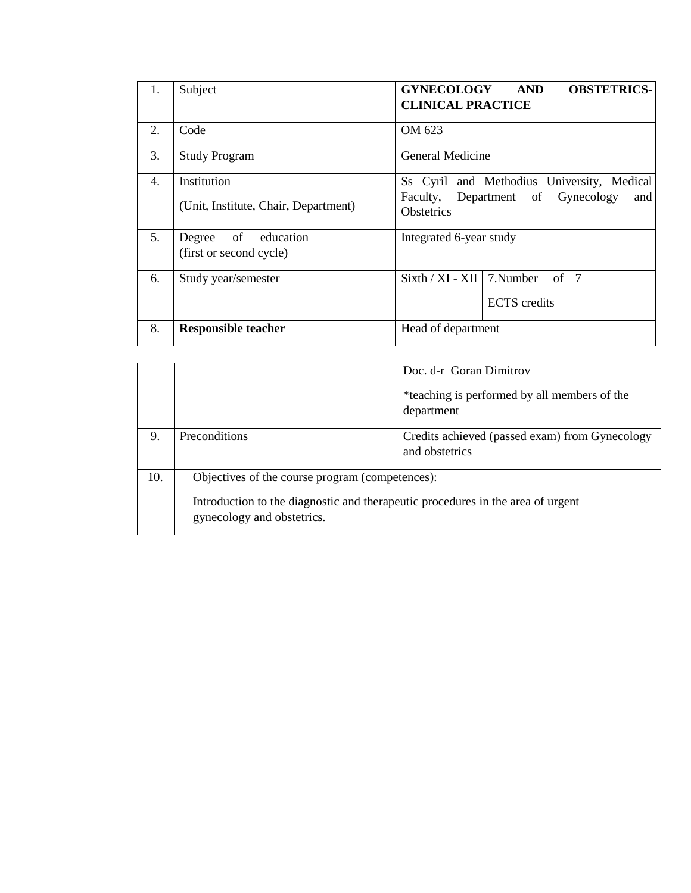| $\mathbf{1}$ .   | Subject                                             | AND<br><b>OBSTETRICS-</b><br><b>GYNECOLOGY</b><br><b>CLINICAL PRACTICE</b>                                     |  |  |  |  |
|------------------|-----------------------------------------------------|----------------------------------------------------------------------------------------------------------------|--|--|--|--|
| 2.               | Code                                                | OM 623                                                                                                         |  |  |  |  |
| 3.               | <b>Study Program</b>                                | General Medicine                                                                                               |  |  |  |  |
| $\overline{4}$ . | Institution<br>(Unit, Institute, Chair, Department) | Ss Cyril and Methodius University, Medical<br>Department of Gynecology<br>Faculty,<br>and<br><b>Obstetrics</b> |  |  |  |  |
| 5.               | of education<br>Degree<br>(first or second cycle)   | Integrated 6-year study                                                                                        |  |  |  |  |
| 6.               | Study year/semester                                 | $Sixth / XI - XII$<br>7<br>7.Number<br>of<br><b>ECTS</b> credits                                               |  |  |  |  |
| 8.               | <b>Responsible teacher</b>                          | Head of department                                                                                             |  |  |  |  |

|     |                                                                                                                                                                  | Doc. d-r Goran Dimitrov                                    |  |  |  |
|-----|------------------------------------------------------------------------------------------------------------------------------------------------------------------|------------------------------------------------------------|--|--|--|
|     |                                                                                                                                                                  | *teaching is performed by all members of the<br>department |  |  |  |
| 9.  | Preconditions                                                                                                                                                    | Credits achieved (passed exam) from Gynecology             |  |  |  |
|     |                                                                                                                                                                  | and obstetrics                                             |  |  |  |
| 10. | Objectives of the course program (competences):<br>Introduction to the diagnostic and therapeutic procedures in the area of urgent<br>gynecology and obstetrics. |                                                            |  |  |  |
|     |                                                                                                                                                                  |                                                            |  |  |  |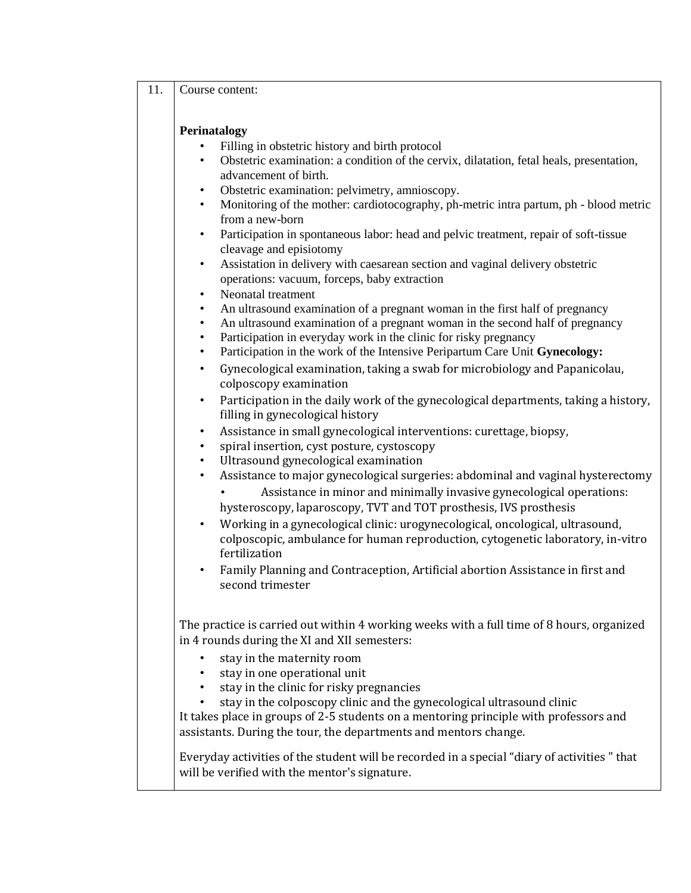## 11. Course content:

## **Perinatalogy**

- Filling in obstetric history and birth protocol
- Obstetric examination: a condition of the cervix, dilatation, fetal heals, presentation, advancement of birth.
- Obstetric examination: pelvimetry, amnioscopy.
- Monitoring of the mother: cardiotocography, ph-metric intra partum, ph blood metric from a new-born
- Participation in spontaneous labor: head and pelvic treatment, repair of soft-tissue cleavage and episiotomy
- Assistation in delivery with caesarean section and vaginal delivery obstetric operations: vacuum, forceps, baby extraction
- Neonatal treatment
- An ultrasound examination of a pregnant woman in the first half of pregnancy
- An ultrasound examination of a pregnant woman in the second half of pregnancy
- Participation in everyday work in the clinic for risky pregnancy
- Participation in the work of the Intensive Peripartum Care Unit **Gynecology:**
- Gynecological examination, taking a swab for microbiology and Papanicolau, colposcopy examination
- Participation in the daily work of the gynecological departments, taking a history, filling in gynecological history
- Assistance in small gynecological interventions: curettage, biopsy,
- spiral insertion, cyst posture, cystoscopy
- Ultrasound gynecological examination
- Assistance to major gynecological surgeries: abdominal and vaginal hysterectomy
	- Assistance in minor and minimally invasive gynecological operations: hysteroscopy, laparoscopy, TVT and TOT prosthesis, IVS prosthesis
- Working in a gynecological clinic: urogynecological, oncological, ultrasound, colposcopic, ambulance for human reproduction, cytogenetic laboratory, in-vitro fertilization
- Family Planning and Contraception, Artificial abortion Assistance in first and second trimester

The practice is carried out within 4 working weeks with a full time of 8 hours, organized in 4 rounds during the XI and XII semesters:

- stay in the maternity room
- stay in one operational unit
- stay in the clinic for risky pregnancies
- stay in the colposcopy clinic and the gynecological ultrasound clinic

It takes place in groups of 2-5 students on a mentoring principle with professors and assistants. During the tour, the departments and mentors change.

Everyday activities of the student will be recorded in a special "diary of activities " that will be verified with the mentor's signature.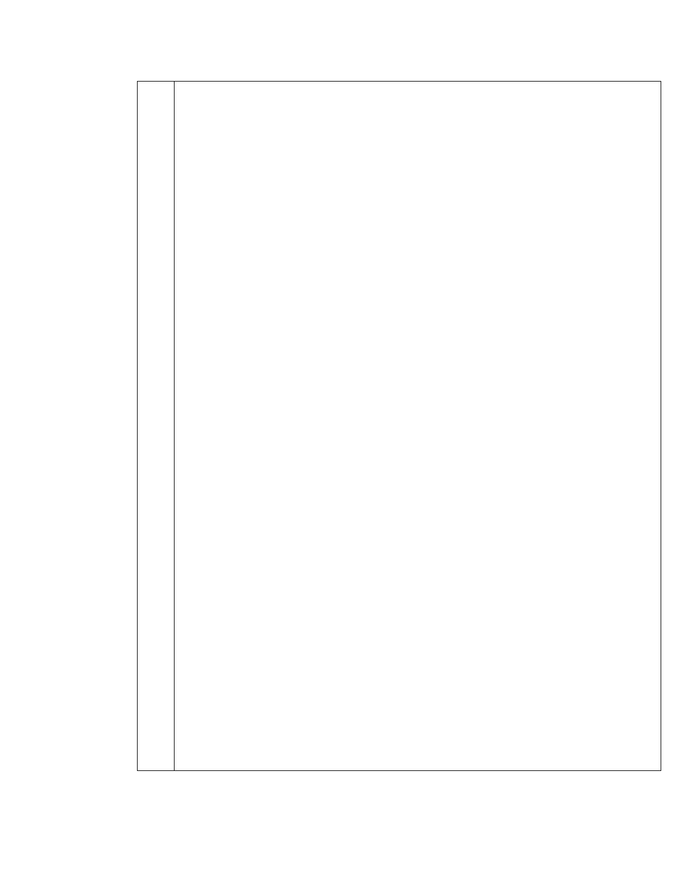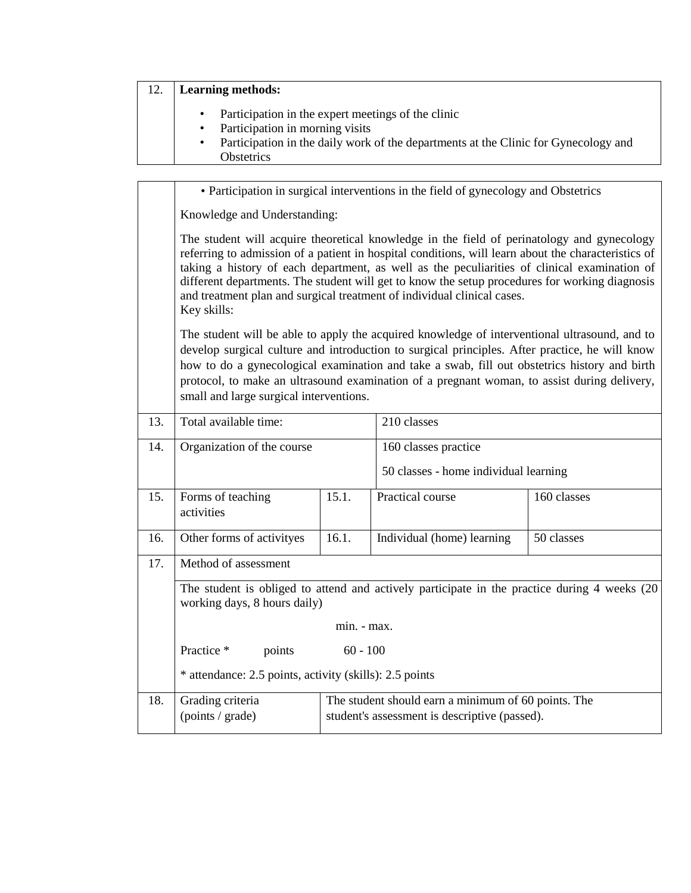| 12. | <b>Learning methods:</b> |                                                                                     |  |  |
|-----|--------------------------|-------------------------------------------------------------------------------------|--|--|
|     | $\bullet$                | Participation in the expert meetings of the clinic                                  |  |  |
|     | $\bullet$                | Participation in morning visits                                                     |  |  |
|     | $\bullet$                | Participation in the daily work of the departments at the Clinic for Gynecology and |  |  |
|     |                          | Obstetrics                                                                          |  |  |

|     | • Participation in surgical interventions in the field of gynecology and Obstetrics                                                                                                                                                                                                                                                                                                                                                                                                           |                                                                                                      |                                                                                                                                                                                                                                                                                                                                                                                                |             |  |  |
|-----|-----------------------------------------------------------------------------------------------------------------------------------------------------------------------------------------------------------------------------------------------------------------------------------------------------------------------------------------------------------------------------------------------------------------------------------------------------------------------------------------------|------------------------------------------------------------------------------------------------------|------------------------------------------------------------------------------------------------------------------------------------------------------------------------------------------------------------------------------------------------------------------------------------------------------------------------------------------------------------------------------------------------|-------------|--|--|
|     | Knowledge and Understanding:                                                                                                                                                                                                                                                                                                                                                                                                                                                                  |                                                                                                      |                                                                                                                                                                                                                                                                                                                                                                                                |             |  |  |
|     | The student will acquire theoretical knowledge in the field of perinatology and gynecology<br>referring to admission of a patient in hospital conditions, will learn about the characteristics of<br>taking a history of each department, as well as the peculiarities of clinical examination of<br>different departments. The student will get to know the setup procedures for working diagnosis<br>and treatment plan and surgical treatment of individual clinical cases.<br>Key skills: |                                                                                                      |                                                                                                                                                                                                                                                                                                                                                                                                |             |  |  |
|     | small and large surgical interventions.                                                                                                                                                                                                                                                                                                                                                                                                                                                       |                                                                                                      | The student will be able to apply the acquired knowledge of interventional ultrasound, and to<br>develop surgical culture and introduction to surgical principles. After practice, he will know<br>how to do a gynecological examination and take a swab, fill out obstetrics history and birth<br>protocol, to make an ultrasound examination of a pregnant woman, to assist during delivery, |             |  |  |
| 13. | Total available time:                                                                                                                                                                                                                                                                                                                                                                                                                                                                         |                                                                                                      | 210 classes                                                                                                                                                                                                                                                                                                                                                                                    |             |  |  |
| 14. | Organization of the course                                                                                                                                                                                                                                                                                                                                                                                                                                                                    |                                                                                                      | 160 classes practice                                                                                                                                                                                                                                                                                                                                                                           |             |  |  |
|     |                                                                                                                                                                                                                                                                                                                                                                                                                                                                                               |                                                                                                      | 50 classes - home individual learning                                                                                                                                                                                                                                                                                                                                                          |             |  |  |
| 15. | Forms of teaching<br>activities                                                                                                                                                                                                                                                                                                                                                                                                                                                               | 15.1.                                                                                                | Practical course                                                                                                                                                                                                                                                                                                                                                                               | 160 classes |  |  |
| 16. | Other forms of activityes                                                                                                                                                                                                                                                                                                                                                                                                                                                                     | 16.1.                                                                                                | Individual (home) learning                                                                                                                                                                                                                                                                                                                                                                     | 50 classes  |  |  |
| 17. | Method of assessment                                                                                                                                                                                                                                                                                                                                                                                                                                                                          |                                                                                                      |                                                                                                                                                                                                                                                                                                                                                                                                |             |  |  |
|     | The student is obliged to attend and actively participate in the practice during 4 weeks (20<br>working days, 8 hours daily)                                                                                                                                                                                                                                                                                                                                                                  |                                                                                                      |                                                                                                                                                                                                                                                                                                                                                                                                |             |  |  |
|     | $min. - max.$                                                                                                                                                                                                                                                                                                                                                                                                                                                                                 |                                                                                                      |                                                                                                                                                                                                                                                                                                                                                                                                |             |  |  |
|     | Practice *<br>points<br>$60 - 100$                                                                                                                                                                                                                                                                                                                                                                                                                                                            |                                                                                                      |                                                                                                                                                                                                                                                                                                                                                                                                |             |  |  |
|     | * attendance: 2.5 points, activity (skills): 2.5 points                                                                                                                                                                                                                                                                                                                                                                                                                                       |                                                                                                      |                                                                                                                                                                                                                                                                                                                                                                                                |             |  |  |
| 18. | Grading criteria<br>(points / grade)                                                                                                                                                                                                                                                                                                                                                                                                                                                          | The student should earn a minimum of 60 points. The<br>student's assessment is descriptive (passed). |                                                                                                                                                                                                                                                                                                                                                                                                |             |  |  |